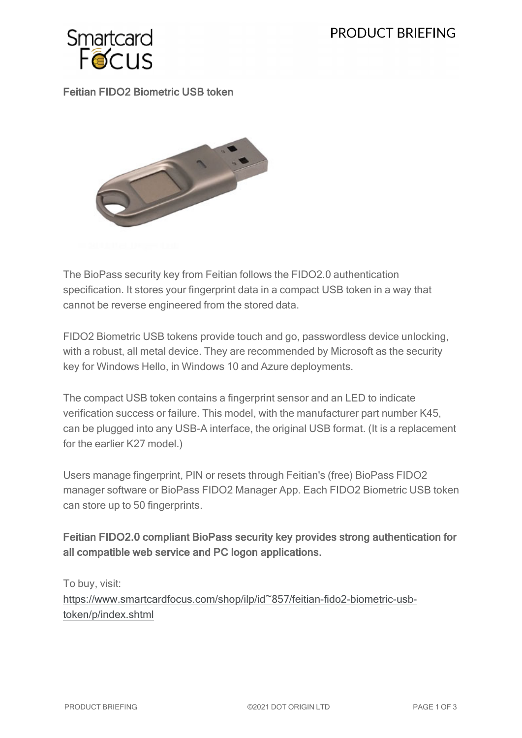# **PRODUCT BRIEFING**



# Feitian FIDO2 Biometric USB token



The BioPass security key from Feitian follows the FIDO2.0 authentication specification. It stores your fingerprint data in a compact USB token in a way that cannot be reverse engineered from the stored data.

FIDO2 Biometric USB tokens provide touch and go, passwordless device unlocking, with a robust, all metal device. They are recommended by Microsoft as the security key for Windows Hello, in Windows 10 and Azure deployments.

The compact USB token contains a fingerprint sensor and an LED to indicate verification success or failure. This model, with the manufacturer part number K45, can be plugged into any USB-A interface, the original USB format. (It is a replacement for the earlier K27 model.)

Users manage fingerprint, PIN or resets through Feitian's (free) BioPass FIDO2 manager software or BioPass FIDO2 Manager App. Each FIDO2 Biometric USB token can store up to 50 fingerprints.

# Feitian FIDO2.0 compliant BioPass security key provides strong authentication for all compatible web service and PC logon applications.

To buy, visit: [https://www.smartcardfocus.com/shop/ilp/id~857/feitian-fido2-biometric-usb](https://www.smartcardfocus.com/shop/ilp/id~857/feitian-fido2-biometric-usb-token/p/index.shtml?utm_source=download&utm_medium=pdf&utm_campaign=scf-product-pdf)[token/p/index.shtml](https://www.smartcardfocus.com/shop/ilp/id~857/feitian-fido2-biometric-usb-token/p/index.shtml?utm_source=download&utm_medium=pdf&utm_campaign=scf-product-pdf)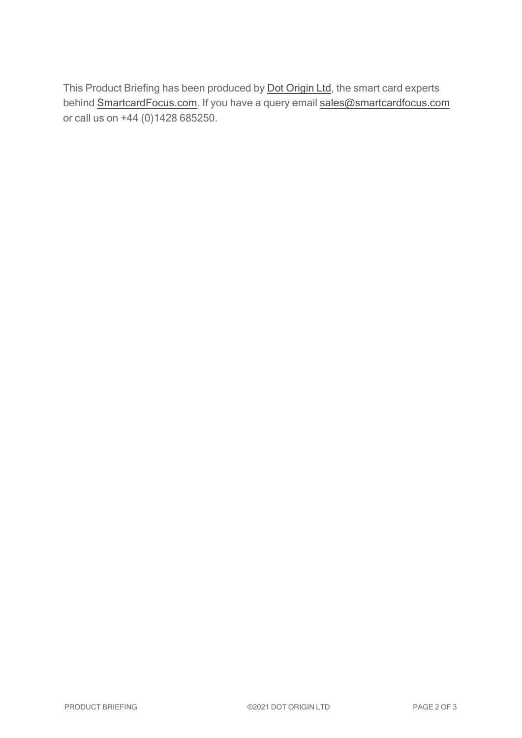This Product Briefing has been produced by **Dot [Origin](https://www.dotorigin.com/) Ltd**, the smart card experts behind [SmartcardFocus.com.](https://www.smartcardfocus.com/?utm_source=download&utm_medium=pdf&utm_campaign=scf-product-pdf) If you have a query email [sales@smartcardfocus.com](mailto:sales@smartcardfocus.com?subject=Product Briefing query) or call us on +44 (0)1428 685250.